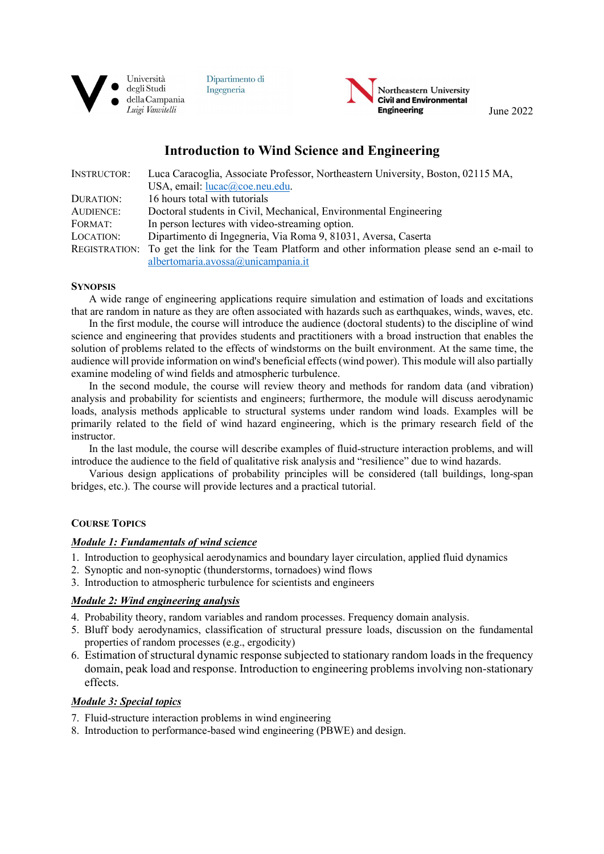

Dipartimento di Ingegneria



# Introduction to Wind Science and Engineering

| <b>INSTRUCTOR:</b> | Luca Caracoglia, Associate Professor, Northeastern University, Boston, 02115 MA,                   |
|--------------------|----------------------------------------------------------------------------------------------------|
|                    | USA, email: lucac@coe.neu.edu.                                                                     |
| DURATION:          | 16 hours total with tutorials                                                                      |
| <b>AUDIENCE:</b>   | Doctoral students in Civil, Mechanical, Environmental Engineering                                  |
| FORMAT:            | In person lectures with video-streaming option.                                                    |
| LOCATION:          | Dipartimento di Ingegneria, Via Roma 9, 81031, Aversa, Caserta                                     |
|                    | REGISTRATION: To get the link for the Team Platform and other information please send an e-mail to |
|                    | albertomaria.avossa@unicampania.it                                                                 |

#### **SYNOPSIS**

A wide range of engineering applications require simulation and estimation of loads and excitations that are random in nature as they are often associated with hazards such as earthquakes, winds, waves, etc.

In the first module, the course will introduce the audience (doctoral students) to the discipline of wind science and engineering that provides students and practitioners with a broad instruction that enables the solution of problems related to the effects of windstorms on the built environment. At the same time, the audience will provide information on wind's beneficial effects (wind power). This module will also partially examine modeling of wind fields and atmospheric turbulence.

In the second module, the course will review theory and methods for random data (and vibration) analysis and probability for scientists and engineers; furthermore, the module will discuss aerodynamic loads, analysis methods applicable to structural systems under random wind loads. Examples will be primarily related to the field of wind hazard engineering, which is the primary research field of the instructor.

In the last module, the course will describe examples of fluid-structure interaction problems, and will introduce the audience to the field of qualitative risk analysis and "resilience" due to wind hazards.

Various design applications of probability principles will be considered (tall buildings, long-span bridges, etc.). The course will provide lectures and a practical tutorial.

## COURSE TOPICS

## Module 1: Fundamentals of wind science

- 1. Introduction to geophysical aerodynamics and boundary layer circulation, applied fluid dynamics
- 2. Synoptic and non-synoptic (thunderstorms, tornadoes) wind flows
- 3. Introduction to atmospheric turbulence for scientists and engineers

## Module 2: Wind engineering analysis

- 4. Probability theory, random variables and random processes. Frequency domain analysis.
- 5. Bluff body aerodynamics, classification of structural pressure loads, discussion on the fundamental properties of random processes (e.g., ergodicity)
- 6. Estimation of structural dynamic response subjected to stationary random loads in the frequency domain, peak load and response. Introduction to engineering problems involving non-stationary effects.

## Module 3: Special topics

- 7. Fluid-structure interaction problems in wind engineering
- 8. Introduction to performance-based wind engineering (PBWE) and design.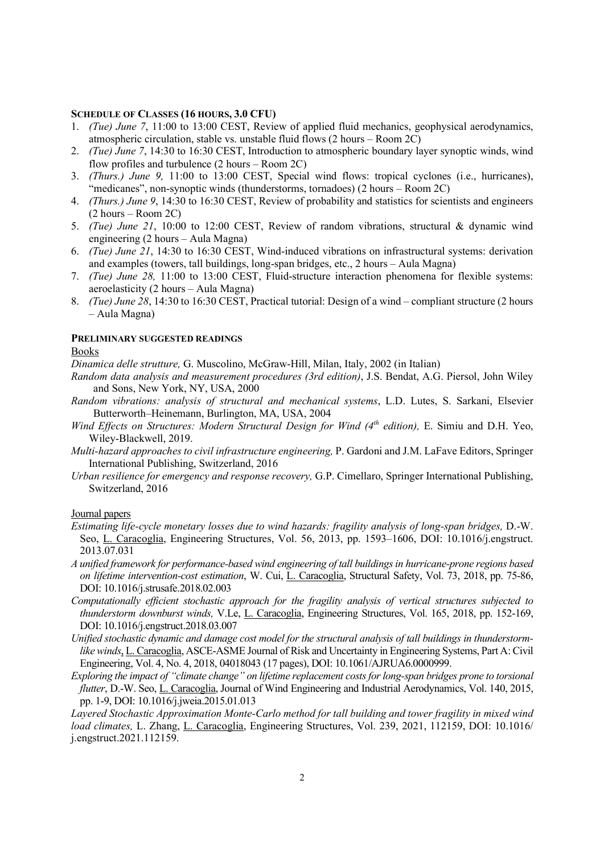#### SCHEDULE OF CLASSES (16 HOURS, 3.0 CFU)

- 1. (Tue) June 7, 11:00 to 13:00 CEST, Review of applied fluid mechanics, geophysical aerodynamics, atmospheric circulation, stable vs. unstable fluid flows (2 hours – Room 2C)
- 2. *(Tue) June 7*, 14:30 to 16:30 CEST, Introduction to atmospheric boundary layer synoptic winds, wind flow profiles and turbulence (2 hours – Room 2C)
- 3. (Thurs.) June 9, 11:00 to 13:00 CEST, Special wind flows: tropical cyclones (i.e., hurricanes), "medicanes", non-synoptic winds (thunderstorms, tornadoes) (2 hours – Room 2C)
- 4. (Thurs.) June 9, 14:30 to 16:30 CEST, Review of probability and statistics for scientists and engineers (2 hours – Room 2C)
- 5. (Tue) June 21, 10:00 to 12:00 CEST, Review of random vibrations, structural & dynamic wind engineering (2 hours – Aula Magna)
- 6. (Tue) June 21, 14:30 to 16:30 CEST, Wind-induced vibrations on infrastructural systems: derivation and examples (towers, tall buildings, long-span bridges, etc., 2 hours – Aula Magna)
- 7. (Tue) June 28, 11:00 to 13:00 CEST, Fluid-structure interaction phenomena for flexible systems: aeroelasticity (2 hours – Aula Magna)
- 8. (Tue) June 28, 14:30 to 16:30 CEST, Practical tutorial: Design of a wind compliant structure (2 hours – Aula Magna)

#### PRELIMINARY SUGGESTED READINGS

#### Books

Dinamica delle strutture, G. Muscolino, McGraw-Hill, Milan, Italy, 2002 (in Italian)

- Random data analysis and measurement procedures (3rd edition), J.S. Bendat, A.G. Piersol, John Wiley and Sons, New York, NY, USA, 2000
- Random vibrations: analysis of structural and mechanical systems, L.D. Lutes, S. Sarkani, Elsevier Butterworth–Heinemann, Burlington, MA, USA, 2004
- Wind Effects on Structures: Modern Structural Design for Wind  $(4<sup>th</sup>$  edition), E. Simiu and D.H. Yeo, Wiley-Blackwell, 2019.
- Multi-hazard approaches to civil infrastructure engineering, P. Gardoni and J.M. LaFave Editors, Springer International Publishing, Switzerland, 2016
- Urban resilience for emergency and response recovery, G.P. Cimellaro, Springer International Publishing, Switzerland, 2016

Journal papers

- Estimating life-cycle monetary losses due to wind hazards: fragility analysis of long-span bridges, D.-W. Seo, L. Caracoglia, Engineering Structures, Vol. 56, 2013, pp. 1593–1606, DOI: 10.1016/j.engstruct. 2013.07.031
- A unified framework for performance-based wind engineering of tall buildings in hurricane-prone regions based on lifetime intervention-cost estimation, W. Cui, L. Caracoglia, Structural Safety, Vol. 73, 2018, pp. 75-86, DOI: 10.1016/j.strusafe.2018.02.003
- Computationally efficient stochastic approach for the fragility analysis of vertical structures subjected to thunderstorm downburst winds, V.Le, L. Caracoglia, Engineering Structures, Vol. 165, 2018, pp. 152-169, DOI: 10.1016/j.engstruct.2018.03.007
- Unified stochastic dynamic and damage cost model for the structural analysis of tall buildings in thunderstormlike winds, L. Caracoglia, ASCE-ASME Journal of Risk and Uncertainty in Engineering Systems, Part A: Civil Engineering, Vol. 4, No. 4, 2018, 04018043 (17 pages), DOI: 10.1061/AJRUA6.0000999.
- Exploring the impact of "climate change" on lifetime replacement costs for long-span bridges prone to torsional flutter, D.-W. Seo, L. Caracoglia, Journal of Wind Engineering and Industrial Aerodynamics, Vol. 140, 2015, pp. 1-9, DOI: 10.1016/j.jweia.2015.01.013

Layered Stochastic Approximation Monte-Carlo method for tall building and tower fragility in mixed wind load climates, L. Zhang, L. Caracoglia, Engineering Structures, Vol. 239, 2021, 112159, DOI: 10.1016/ j.engstruct.2021.112159.